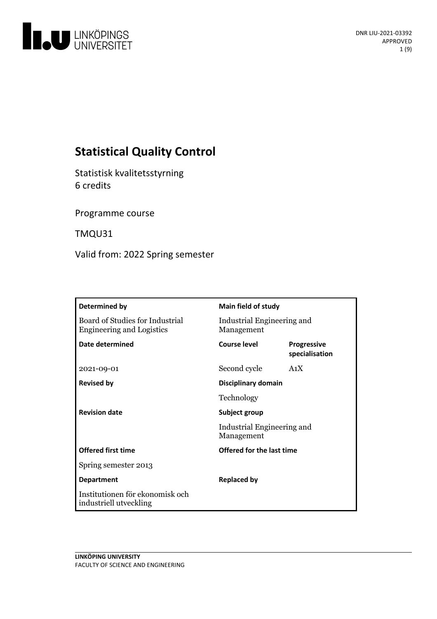

# **Statistical Quality Control**

Statistisk kvalitetsstyrning 6 credits

Programme course

TMQU31

Valid from: 2022 Spring semester

| Determined by                                                       | Main field of study                      |                                      |
|---------------------------------------------------------------------|------------------------------------------|--------------------------------------|
| Board of Studies for Industrial<br><b>Engineering and Logistics</b> | Industrial Engineering and<br>Management |                                      |
| <b>Date determined</b>                                              | Course level                             | <b>Progressive</b><br>specialisation |
| 2021-09-01                                                          | Second cycle                             | A <sub>1</sub> X                     |
| <b>Revised by</b>                                                   | Disciplinary domain                      |                                      |
|                                                                     | Technology                               |                                      |
| <b>Revision date</b>                                                | Subject group                            |                                      |
|                                                                     | Industrial Engineering and<br>Management |                                      |
| <b>Offered first time</b>                                           | Offered for the last time                |                                      |
| Spring semester 2013                                                |                                          |                                      |
| <b>Department</b>                                                   | <b>Replaced by</b>                       |                                      |
| Institutionen för ekonomisk och<br>industriell utveckling           |                                          |                                      |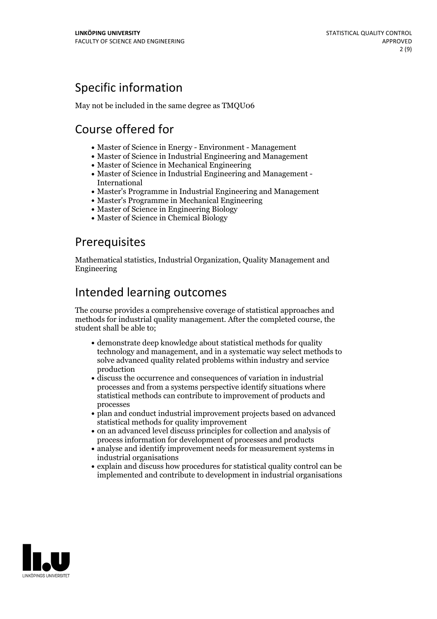## Specific information

May not be included in the same degree as TMQU06

# Course offered for

- Master of Science in Energy Environment Management
- Master of Science in Industrial Engineering and Management
- Master of Science in Mechanical Engineering
- Master of Science in Industrial Engineering and Management International
- Master's Programme in Industrial Engineering and Management
- Master's Programme in Mechanical Engineering
- Master of Science in Engineering Biology
- Master of Science in Chemical Biology

## Prerequisites

Mathematical statistics, Industrial Organization, Quality Management and Engineering

## Intended learning outcomes

The course provides a comprehensive coverage of statistical approaches and methods for industrial quality management. After the completed course, the student shall be able to;

- demonstrate deep knowledge about statistical methods for quality technology and management, and in a systematic way select methods to solve advanced quality related problems within industry and service production
- discuss the occurrence and consequences of variation in industrial processes and from a systems perspective identify situations where statistical methods can contribute to improvement of products and processes
- plan and conduct industrial improvement projects based on advanced statistical methods for quality improvement
- on an advanced level discuss principles for collection and analysis of process information for development of processes and products
- analyse and identify improvement needs for measurement systems in industrial organisations
- explain and discuss how procedures for statistical quality control can be implemented and contribute to development in industrial organisations

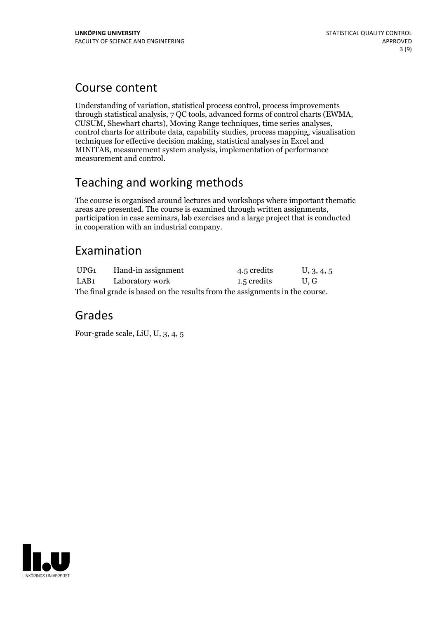## Course content

Understanding of variation, statistical process control, process improvements through statistical analysis, 7 QC tools, advanced forms of control charts (EWMA, CUSUM, Shewhart charts), Moving Range techniques, time series analyses, control charts for attribute data, capability studies, process mapping, visualisation techniques for effective decision making, statistical analyses in Excel and MINITAB, measurement system analysis, implementation of performance measurement and control.

# Teaching and working methods

The course is organised around lectures and workshops where important thematic areas are presented. The course is examined through written assignments, participation in case seminars, lab exercises and a large project that is conducted in cooperation with an industrial company.

## Examination

| UPG1                                                                        | Hand-in assignment | 4.5 credits | U, 3, 4, 5 |  |
|-----------------------------------------------------------------------------|--------------------|-------------|------------|--|
| LAB1                                                                        | Laboratory work    | 1.5 credits | U.G        |  |
| The final grade is based on the results from the assignments in the course. |                    |             |            |  |

## Grades

Four-grade scale, LiU, U, 3, 4, 5

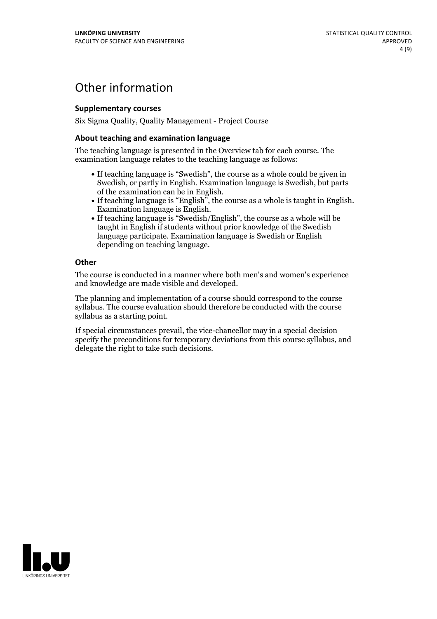## Other information

### **Supplementarycourses**

Six Sigma Quality, Quality Management - Project Course

### **About teaching and examination language**

The teaching language is presented in the Overview tab for each course. The examination language relates to the teaching language as follows:

- If teaching language is "Swedish", the course as a whole could be given in Swedish, or partly in English. Examination language is Swedish, but parts
- of the examination can be in English. If teaching language is "English", the course as <sup>a</sup> whole is taught in English. Examination language is English. If teaching language is "Swedish/English", the course as <sup>a</sup> whole will be
- taught in English if students without prior knowledge of the Swedish language participate. Examination language is Swedish or English depending on teaching language.

#### **Other**

The course is conducted in a manner where both men's and women's experience and knowledge are made visible and developed.

The planning and implementation of a course should correspond to the course syllabus. The course evaluation should therefore be conducted with the course syllabus as a starting point.

If special circumstances prevail, the vice-chancellor may in a special decision specify the preconditions for temporary deviations from this course syllabus, and delegate the right to take such decisions.

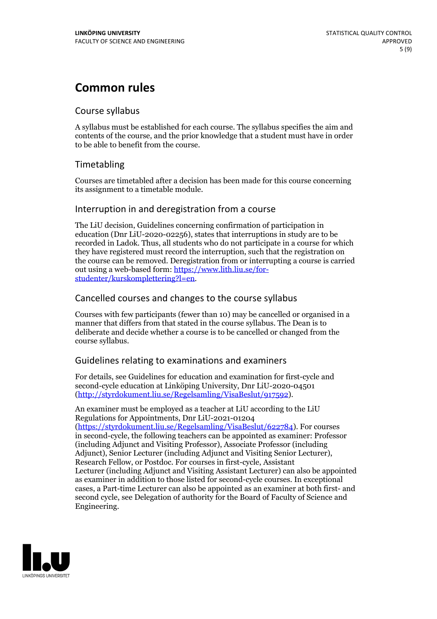## **Common rules**

### Course syllabus

A syllabus must be established for each course. The syllabus specifies the aim and contents of the course, and the prior knowledge that a student must have in order to be able to benefit from the course.

## Timetabling

Courses are timetabled after a decision has been made for this course concerning its assignment to a timetable module.

### Interruption in and deregistration from a course

The LiU decision, Guidelines concerning confirmation of participation in education (Dnr LiU-2020-02256), states that interruptions in study are to be recorded in Ladok. Thus, all students who do not participate in a course for which they have registered must record the interruption, such that the registration on the course can be removed. Deregistration from or interrupting a course is carried out using <sup>a</sup> web-based form: https://www.lith.liu.se/for- [studenter/kurskomplettering?l=en.](https://www.lith.liu.se/for-studenter/kurskomplettering?l=en)

## Cancelled courses and changes to the course syllabus

Courses with few participants (fewer than 10) may be cancelled or organised in a manner that differs from that stated in the course syllabus. The Dean is to deliberate and decide whether a course is to be cancelled or changed from the course syllabus.

## Guidelines relating to examinations and examiners

For details, see Guidelines for education and examination for first-cycle and second-cycle education at Linköping University, Dnr LiU-2020-04501 [\(http://styrdokument.liu.se/Regelsamling/VisaBeslut/917592\)](http://styrdokument.liu.se/Regelsamling/VisaBeslut/917592).

An examiner must be employed as a teacher at LiU according to the LiU Regulations for Appointments, Dnr LiU-2021-01204 [\(https://styrdokument.liu.se/Regelsamling/VisaBeslut/622784](https://styrdokument.liu.se/Regelsamling/VisaBeslut/622784)). For courses in second-cycle, the following teachers can be appointed as examiner: Professor (including Adjunct and Visiting Professor), Associate Professor (including Adjunct), Senior Lecturer (including Adjunct and Visiting Senior Lecturer), Research Fellow, or Postdoc. For courses in first-cycle, Assistant Lecturer (including Adjunct and Visiting Assistant Lecturer) can also be appointed as examiner in addition to those listed for second-cycle courses. In exceptional cases, a Part-time Lecturer can also be appointed as an examiner at both first- and second cycle, see Delegation of authority for the Board of Faculty of Science and Engineering.

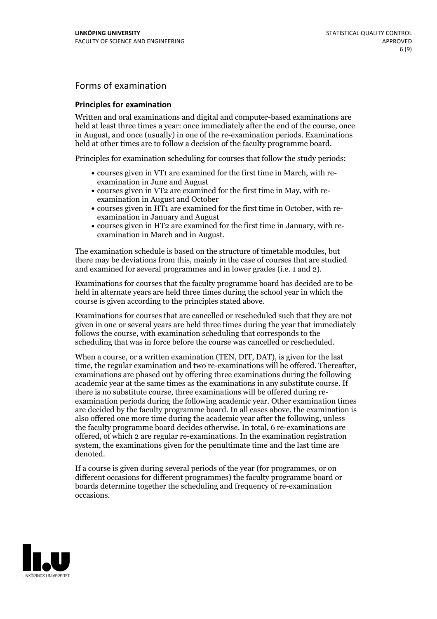## Forms of examination

### **Principles for examination**

Written and oral examinations and digital and computer-based examinations are held at least three times a year: once immediately after the end of the course, once in August, and once (usually) in one of the re-examination periods. Examinations held at other times are to follow a decision of the faculty programme board.

Principles for examination scheduling for courses that follow the study periods:

- courses given in VT1 are examined for the first time in March, with re-examination in June and August
- courses given in VT2 are examined for the first time in May, with re-examination in August and October
- courses given in HT1 are examined for the first time in October, with re-examination in January and August
- courses given in HT2 are examined for the first time in January, with re-examination in March and in August.

The examination schedule is based on the structure of timetable modules, but there may be deviations from this, mainly in the case of courses that are studied and examined for several programmes and in lower grades (i.e. 1 and 2).

Examinations for courses that the faculty programme board has decided are to be held in alternate years are held three times during the school year in which the course is given according to the principles stated above.

Examinations for courses that are cancelled orrescheduled such that they are not given in one or several years are held three times during the year that immediately follows the course, with examination scheduling that corresponds to the scheduling that was in force before the course was cancelled or rescheduled.

When a course, or a written examination (TEN, DIT, DAT), is given for the last time, the regular examination and two re-examinations will be offered. Thereafter, examinations are phased out by offering three examinations during the following academic year at the same times as the examinations in any substitute course. If there is no substitute course, three examinations will be offered during re- examination periods during the following academic year. Other examination times are decided by the faculty programme board. In all cases above, the examination is also offered one more time during the academic year after the following, unless the faculty programme board decides otherwise. In total, 6 re-examinations are offered, of which 2 are regular re-examinations. In the examination registration system, the examinations given for the penultimate time and the last time are denoted.

If a course is given during several periods of the year (for programmes, or on different occasions for different programmes) the faculty programme board or boards determine together the scheduling and frequency of re-examination occasions.

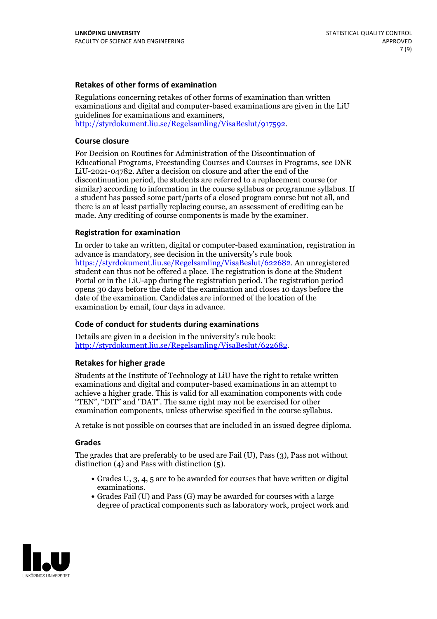### **Retakes of other forms of examination**

Regulations concerning retakes of other forms of examination than written examinations and digital and computer-based examinations are given in the LiU guidelines for examinations and examiners, [http://styrdokument.liu.se/Regelsamling/VisaBeslut/917592.](http://styrdokument.liu.se/Regelsamling/VisaBeslut/917592)

#### **Course closure**

For Decision on Routines for Administration of the Discontinuation of Educational Programs, Freestanding Courses and Courses in Programs, see DNR LiU-2021-04782. After a decision on closure and after the end of the discontinuation period, the students are referred to a replacement course (or similar) according to information in the course syllabus or programme syllabus. If a student has passed some part/parts of a closed program course but not all, and there is an at least partially replacing course, an assessment of crediting can be made. Any crediting of course components is made by the examiner.

#### **Registration for examination**

In order to take an written, digital or computer-based examination, registration in advance is mandatory, see decision in the university's rule book [https://styrdokument.liu.se/Regelsamling/VisaBeslut/622682.](https://styrdokument.liu.se/Regelsamling/VisaBeslut/622682) An unregistered student can thus not be offered a place. The registration is done at the Student Portal or in the LiU-app during the registration period. The registration period opens 30 days before the date of the examination and closes 10 days before the date of the examination. Candidates are informed of the location of the examination by email, four days in advance.

#### **Code of conduct for students during examinations**

Details are given in a decision in the university's rule book: <http://styrdokument.liu.se/Regelsamling/VisaBeslut/622682>.

#### **Retakes for higher grade**

Students at the Institute of Technology at LiU have the right to retake written examinations and digital and computer-based examinations in an attempt to achieve a higher grade. This is valid for all examination components with code "TEN", "DIT" and "DAT". The same right may not be exercised for other examination components, unless otherwise specified in the course syllabus.

A retake is not possible on courses that are included in an issued degree diploma.

#### **Grades**

The grades that are preferably to be used are Fail (U), Pass (3), Pass not without distinction  $(4)$  and Pass with distinction  $(5)$ .

- Grades U, 3, 4, 5 are to be awarded for courses that have written or digital examinations.<br>• Grades Fail (U) and Pass (G) may be awarded for courses with a large
- degree of practical components such as laboratory work, project work and

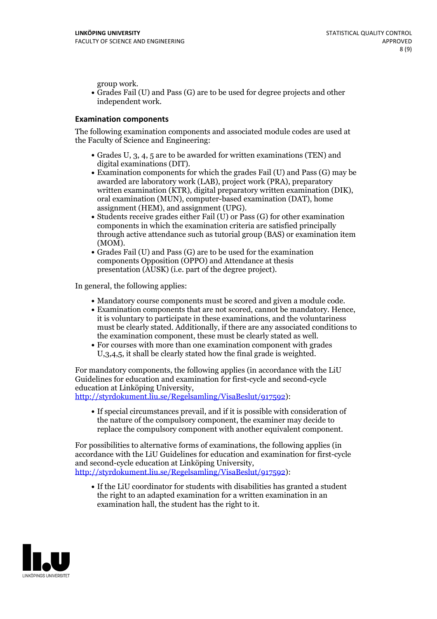group work.<br>• Grades Fail (U) and Pass (G) are to be used for degree projects and other independent work.

#### **Examination components**

The following examination components and associated module codes are used at the Faculty of Science and Engineering:

- Grades U, 3, 4, 5 are to be awarded for written examinations (TEN) and
- digital examinations (DIT).<br>• Examination components for which the grades Fail (U) and Pass (G) may be awarded are laboratory work (LAB), project work (PRA), preparatory written examination (KTR), digital preparatory written examination (DIK), oral examination (MUN), computer-based examination (DAT), home
- assignment (HEM), and assignment (UPG).<br>• Students receive grades either Fail (U) or Pass (G) for other examination components in which the examination criteria are satisfied principally through active attendance such as tutorial group (BAS) or examination item
- (MOM).<br>• Grades Fail (U) and Pass (G) are to be used for the examination components Opposition (OPPO) and Attendance at thesis presentation (AUSK) (i.e. part of the degree project).

In general, the following applies:

- 
- Mandatory course components must be scored and given <sup>a</sup> module code. Examination components that are not scored, cannot be mandatory. Hence, it is voluntary to participate in these examinations, and the voluntariness must be clearly stated. Additionally, if there are any associated conditions to
- the examination component, these must be clearly stated as well.<br>• For courses with more than one examination component with grades U,3,4,5, it shall be clearly stated how the final grade is weighted.

For mandatory components, the following applies (in accordance with the LiU Guidelines for education and examination for first-cycle and second-cycle education at Linköping University,<br>[http://styrdokument.liu.se/Regelsamling/VisaBeslut/917592\)](http://styrdokument.liu.se/Regelsamling/VisaBeslut/917592):

If special circumstances prevail, and if it is possible with consideration of the nature of the compulsory component, the examiner may decide to replace the compulsory component with another equivalent component.

For possibilities to alternative forms of examinations, the following applies (in accordance with the LiU Guidelines for education and examination for first-cycle [http://styrdokument.liu.se/Regelsamling/VisaBeslut/917592\)](http://styrdokument.liu.se/Regelsamling/VisaBeslut/917592):

If the LiU coordinator for students with disabilities has granted a student the right to an adapted examination for a written examination in an examination hall, the student has the right to it.